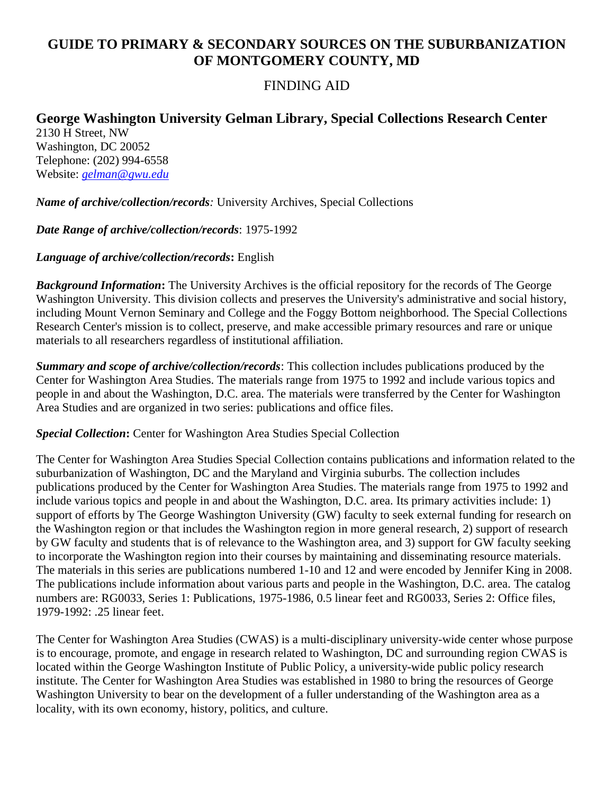## **GUIDE TO PRIMARY & SECONDARY SOURCES ON THE SUBURBANIZATION OF MONTGOMERY COUNTY, MD**

## FINDING AID

## **George Washington University Gelman Library, Special Collections Research Center**

2130 H Street, NW Washington, DC 20052 Telephone: (202) 994-6558 Website: *[gelman@gwu.edu](mailto:gelman@gwu.edu)*

*Name of archive/collection/records:* University Archives, Special Collections

*Date Range of archive/collection/records*: 1975-1992

*Language of archive/collection/records***:** English

*Background Information***:** The University Archives is the official repository for the records of The George Washington University. This division collects and preserves the University's administrative and social history, including Mount Vernon Seminary and College and the Foggy Bottom neighborhood. The Special Collections Research Center's mission is to collect, preserve, and make accessible primary resources and rare or unique materials to all researchers regardless of institutional affiliation.

*Summary and scope of archive/collection/records*: This collection includes publications produced by the Center for Washington Area Studies. The materials range from 1975 to 1992 and include various topics and people in and about the Washington, D.C. area. The materials were transferred by the Center for Washington Area Studies and are organized in two series: publications and office files.

*Special Collection***:** Center for Washington Area Studies Special Collection

The Center for Washington Area Studies Special Collection contains publications and information related to the suburbanization of Washington, DC and the Maryland and Virginia suburbs. The collection includes publications produced by the Center for Washington Area Studies. The materials range from 1975 to 1992 and include various topics and people in and about the Washington, D.C. area. Its primary activities include: 1) support of efforts by The George Washington University (GW) faculty to seek external funding for research on the Washington region or that includes the Washington region in more general research, 2) support of research by GW faculty and students that is of relevance to the Washington area, and 3) support for GW faculty seeking to incorporate the Washington region into their courses by maintaining and disseminating resource materials. The materials in this series are publications numbered 1-10 and 12 and were encoded by Jennifer King in 2008. The publications include information about various parts and people in the Washington, D.C. area. The catalog numbers are: RG0033, Series 1: Publications, 1975-1986, 0.5 linear feet and RG0033, Series 2: Office files, 1979-1992: .25 linear feet.

The Center for Washington Area Studies (CWAS) is a multi-disciplinary university-wide center whose purpose is to encourage, promote, and engage in research related to Washington, DC and surrounding region CWAS is located within the George Washington Institute of Public Policy, a university-wide public policy research institute. The Center for Washington Area Studies was established in 1980 to bring the resources of George Washington University to bear on the development of a fuller understanding of the Washington area as a locality, with its own economy, history, politics, and culture.